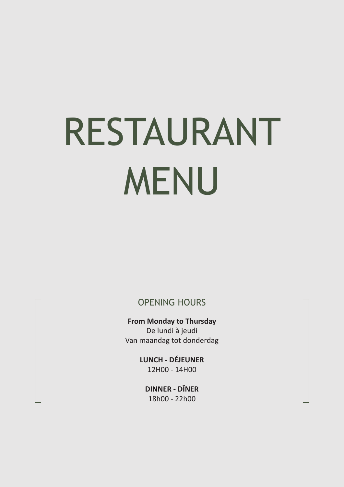# RESTAURANT MENU

OPENING HOURS

**From Monday to Thursday** De lundi à jeudi Van maandag tot donderdag

> **LUNCH - DÉJEUNER** 12H00 - 14H00

**DINNER - DÎNER** 18h00 - 22h00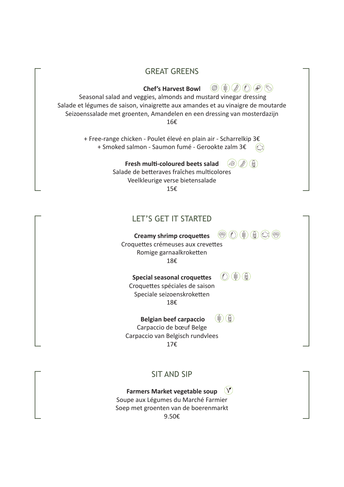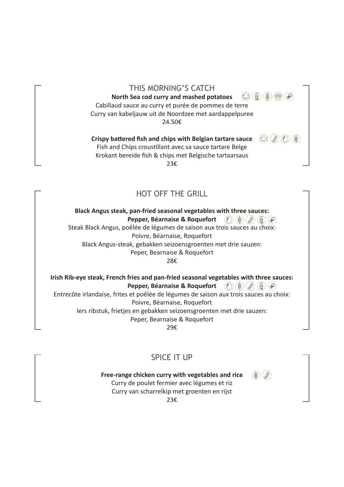THIS MORNING'S CATCH  $\mathbb{Q} \left( \begin{matrix} \mathbb{A} \end{matrix} \right) \left( \begin{matrix} \mathbb{B} \end{matrix} \right) \left( \begin{matrix} \mathbb{W} \end{matrix} \right) \left( \begin{matrix} \mathbb{A} \end{matrix} \right)$ **North Sea cod curry and mashed potatoes**  Cabillaud sauce au curry et purée de pommes de terre Curry van kabeljauw uit de Noordzee met aardappelpuree 24.50€

**Crispy battered fish and chips with Belgian tartare sauce** 

Fish and Chips croustillant avec sa sauce tartare Belge Krokant bereide fish & chips met Belgische tartaarsaus 23€

# HOT OFF THE GRILL

**Black Angus steak, pan-fried seasonal vegetables with three sauces: Pepper, Béarnaise & Roquefort** (1) (\$) (\$) (6) (5) Steak Black Angus, poêlée de légumes de saison aux trois sauces au choix: Poivre, Béarnaise, Roquefort Black Angus-steak, gebakken seizoensgroenten met drie sauzen: Peper, Bearnaise & Roquefort

28€

**Irish Rib-eye steak, French fries and pan-fried seasonal vegetables with three sauces: Pepper, Béarnaise & Roquefort**  $\mathcal{O}(\mathcal{G}(\mathcal{G})\mathcal{G})$ 

Entrecôte irlandaise, frites et poêlée de légumes de saison aux trois sauces au choix: Poivre, Béarnaise, Roquefort Iers ribstuk, frietjes en gebakken seizoensgroenten met drie sauzen:

Peper, Bearnaise & Roquefort

29€

# SPICE IT UP

**Free-range chicken curry with vegetables and rice** 

 $\left(\frac{a}{b}\right)\left(\frac{b}{c}\right)$ 

Curry de poulet fermier avec légumes et riz Curry van scharrelkip met groenten en rijst

23€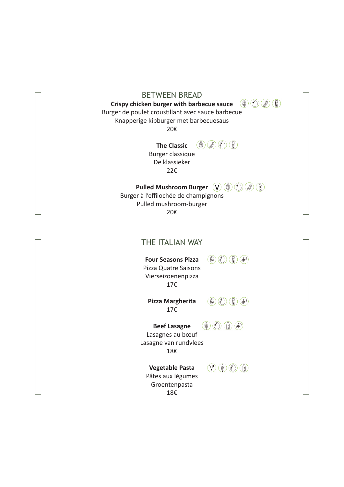| <b>BETWEEN BREAD</b><br>$\bullet$<br>Crispy chicken burger with barbecue sauce<br>é.<br>Burger de poulet croustillant avec sauce barbecue<br>Knapperige kipburger met barbecuesaus<br>20€ |  |
|-------------------------------------------------------------------------------------------------------------------------------------------------------------------------------------------|--|
| $\mathscr{B}$<br>$\left(\frac{1}{2}\right)$<br><b>The Classic</b><br>Burger classique<br>De klassieker<br>22€                                                                             |  |
| $\mathscr{B}$<br>圓<br><b>Pulled Mushroom Burger</b><br>(V)<br>Burger à l'effilochée de champignons<br>Pulled mushroom-burger<br>20€                                                       |  |
| THE ITALIAN WAY                                                                                                                                                                           |  |
| E)<br><b>Four Seasons Pizza</b><br>é.<br>Š<br>Pizza Quatre Saisons<br>Vierseizoenenpizza<br>17€                                                                                           |  |
| Pizza Margherita<br>E)<br>é.<br>₩<br>17€                                                                                                                                                  |  |
| E)<br>₩<br><b>Beef Lasagne</b><br>í.<br>Lasagnes au bœuf<br>Lasagne van rundvlees<br>18€                                                                                                  |  |
| $\bigcirc$<br>$(\mathsf{V})$<br>f)<br><b>Vegetable Pasta</b><br>Pâtes aux légumes<br>Groentenpasta<br>18€                                                                                 |  |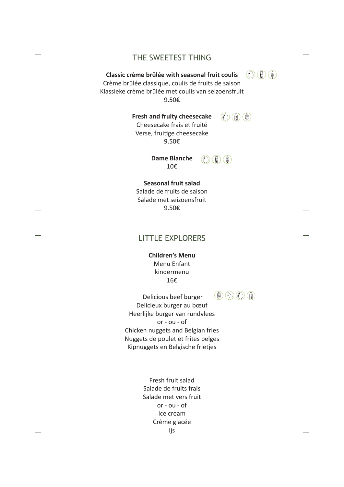## THE SWEETEST THING

#### **Classic crème brûlée with seasonal fruit coulis**

Crème brûlée classique, coulis de fruits de saison Klassieke crème brûlée met coulis van seizoensfruit 9.50€

 $\textcircled{c}$ 

 $\textcircled{c}$  (i) (i)

**Fresh and fruity cheesecake**  Cheesecake frais et fruité Verse, fruitige cheesecake 9.50€

> **Dame Blanche**  10€

 $\textcircled{c}$  (i) (i)

**Seasonal fruit salad**  Salade de fruits de saison

Salade met seizoensfruit 9.50€

# LITTLE EXPLORERS

**Children's Menu**  Menu Enfant kindermenu 16€

 Delicious beef burger Delicieux burger au bœuf Heerlijke burger van rundvlees or - ou - of Chicken nuggets and Belgian fries Nuggets de poulet et frites belges Kipnuggets en Belgische frietjes

> Fresh fruit salad Salade de fruits frais Salade met vers fruit or - ou - of Ice cream Crème glacée ijs

 $\circledast \odot \odot \odot$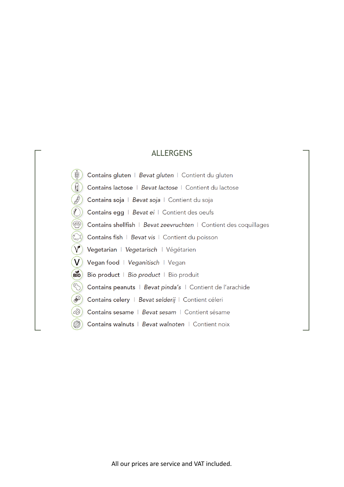# ALLERGENS

- Contains gluten | Bevat gluten | Contient du gluten  $\mathbb{R}^2$
- Contains lactose | Bevat lactose | Contient du lactose ਵਿੰ
- Contains soja | Bevat soja | Contient du soja
- $\mathcal{O}(n)$  Contains egg | Bevat ei | Contient des oeufs
- $\circledR$  Contains shellfish | Bevat zeevruchten | Contient des coquillages
- Contains fish | Bevat vis | Contient du poisson
- $\vee$ Vegetarian | Vegetarisch | Végétarien
- $\mathbf{V}$ Vegan food | Veganitisch | Vegan
- Bio Bio product | Bio product | Bio produit
- $\left(\begin{matrix} 1 \\ 1 \end{matrix}\right)$ Contains peanuts | Bevat pinda's | Contient de l'arachide
- E. Contains celery | Bevat selderij | Contient céleri
- $\varphi$ Contains sesame | Bevat sesam | Contient sésame
- Contains walnuts | Bevat walnoten | Contient noix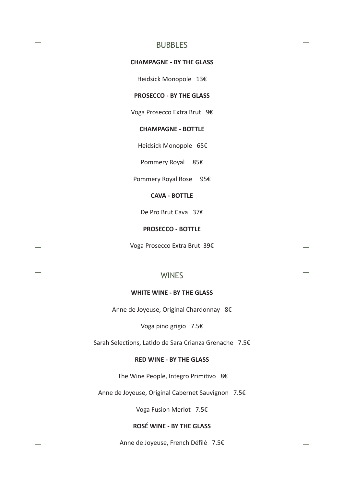## **BUBBLES**

#### **CHAMPAGNE - BY THE GLASS**

Heidsick Monopole 13€

### **PROSECCO - BY THE GLASS**

Voga Prosecco Extra Brut 9€

#### **CHAMPAGNE - BOTTLE**

Heidsick Monopole 65€

Pommery Royal 85€

Pommery Royal Rose 95€

#### **CAVA - BOTTLE**

De Pro Brut Cava 37€

#### **PROSECCO - BOTTLE**

Voga Prosecco Extra Brut 39€

## **WINES**

#### **WHITE WINE - BY THE GLASS**

Anne de Joyeuse, Original Chardonnay 8€

Voga pino grigio 7.5€

Sarah Selections, Latido de Sara Crianza Grenache 7.5€

#### **RED WINE - BY THE GLASS**

The Wine People, Integro Primitivo 8€

Anne de Joyeuse, Original Cabernet Sauvignon 7.5€

Voga Fusion Merlot 7.5€

#### **ROSÉ WINE - BY THE GLASS**

Anne de Joyeuse, French Défilé 7.5€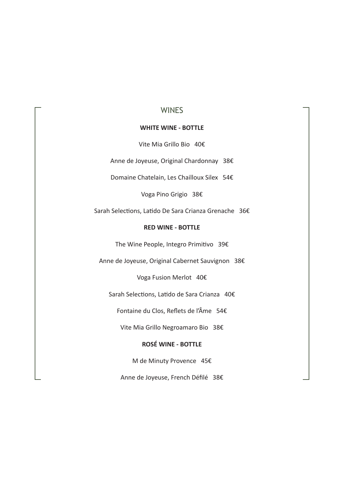## **WINES**

#### **WHITE WINE - BOTTLE**

Vite Mia Grillo Bio 40€

Anne de Joyeuse, Original Chardonnay 38€

Domaine Chatelain, Les Chailloux Silex 54€

Voga Pino Grigio 38€

Sarah Selections, Latido De Sara Crianza Grenache 36€

#### **RED WINE - BOTTLE**

The Wine People, Integro Primitivo 39€

Anne de Joyeuse, Original Cabernet Sauvignon 38€

Voga Fusion Merlot 40€

Sarah Selections, Latido de Sara Crianza 40€

Fontaine du Clos, Reflets de l'Âme 54€

Vite Mia Grillo Negroamaro Bio 38€

#### **ROSÉ WINE - BOTTLE**

M de Minuty Provence 45€

Anne de Joyeuse, French Défilé 38€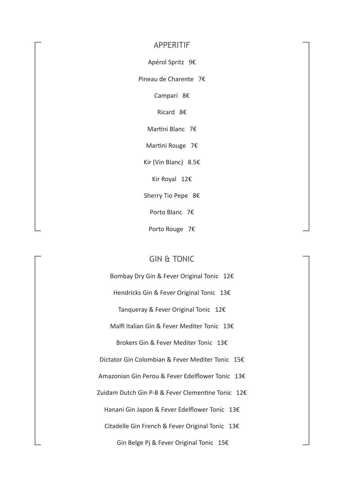#### APPERITIF

Apérol Spritz 9€

Pineau de Charente 7€

Campari 8€

Ricard 8€

Martini Blanc 7€

Martini Rouge 7€

Kir (Vin Blanc) 8.5€

Kir Royal 12€

Sherry Tio Pepe 8€

Porto Blanc 7€

Porto Rouge 7€

# GIN & TONIC

Bombay Dry Gin & Fever Original Tonic 12€ Hendricks Gin & Fever Original Tonic 13€ Tanqueray & Fever Original Tonic 12€ Malfi Italian Gin & Fever Mediter Tonic 13€ Brokers Gin & Fever Mediter Tonic 13€ Dictator Gin Colombian & Fever Mediter Tonic 15€ Amazonian Gin Perou & Fever Edelflower Tonic 13€ Zuidam Dutch Gin P-B & Fever Clementine Tonic 12€ Hanani Gin Japon & Fever Edelflower Tonic 13€ Citadelle Gin French & Fever Original Tonic 13€ Gin Belge Pj & Fever Original Tonic 15€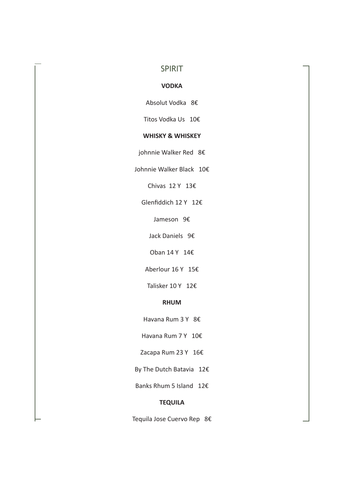## SPIRIT

#### **VODKA**

Absolut Vodka 8€

Titos Vodka Us 10€

#### **WHISKY & WHISKEY**

johnnie Walker Red 8€

Johnnie Walker Black 10€

Chivas 12 Y 13€

Glenfiddich 12 Y 12€

Jameson 9€

Jack Daniels 9€

Oban 14 Y 14€

Aberlour 16 Y 15€

Talisker 10 Y 12€

#### **RHUM**

Havana Rum 3 Y 8€

Havana Rum 7 Y 10€

Zacapa Rum 23 Y 16€

By The Dutch Batavia 12€

Banks Rhum 5 Island 12€

#### **TEQUILA**

Tequila Jose Cuervo Rep 8€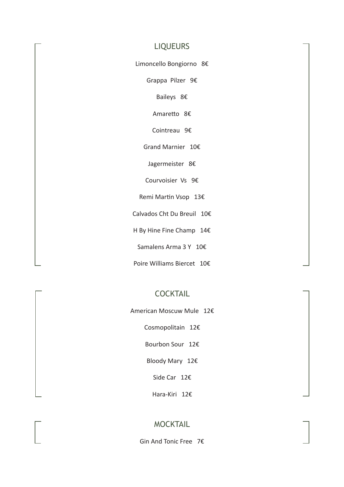## LIQUEURS

Limoncello Bongiorno 8€

Grappa Pilzer 9€

Baileys 8€

Amaretto 8€

Cointreau 9€

Grand Marnier 10€

Jagermeister 8€

Courvoisier Vs 9€

Remi Martin Vsop 13€

Calvados Cht Du Breuil 10€

H By Hine Fine Champ 14€

Samalens Arma 3 Y 10€

Poire Williams Biercet 10€

## COCKTAIL

American Moscuw Mule 12€

Cosmopolitain 12€

Bourbon Sour 12€

Bloody Mary 12€

Side Car 12€

Hara-Kiri 12€

## MOCKTAIL

Gin And Tonic Free 7€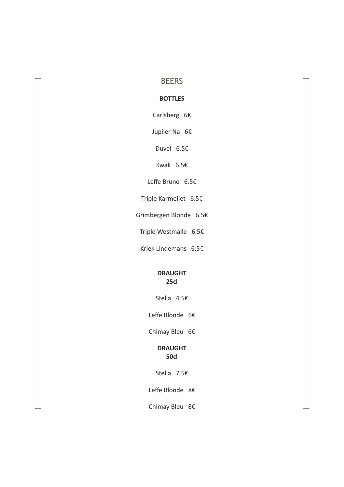# **BEERS**

## **BOTTLES**

Carlsberg 6€

Jupiler Na 6€

Duvel 6.5€

Kwak 6.5€

Leffe Brune 6.5€

Triple Karmeliet 6.5€

Grimbergen Blonde 6.5€

Triple Westmalle 6.5€

Kriek Lindemans 6.5€

#### **DRAUGHT 25cl**

Stella 4.5€

Leffe Blonde 6€

Chimay Bleu 6€

## **DRAUGHT 50cl**

Stella 7.5€

Leffe Blonde 8€

Chimay Bleu 8€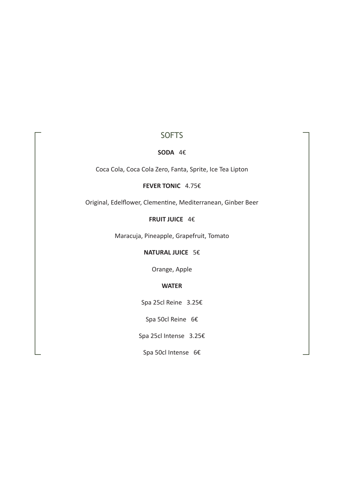# **SOFTS**

#### **SODA** 4€

Coca Cola, Coca Cola Zero, Fanta, Sprite, Ice Tea Lipton

#### **FEVER TONIC** 4.75€

Original, Edelflower, Clementine, Mediterranean, Ginber Beer

## **FRUIT JUICE** 4€

Maracuja, Pineapple, Grapefruit, Tomato

## **NATURAL JUICE** 5€

Orange, Apple

#### **WATER**

Spa 25cl Reine 3.25€

Spa 50cl Reine 6€

Spa 25cl Intense 3.25€

Spa 50cl Intense 6€